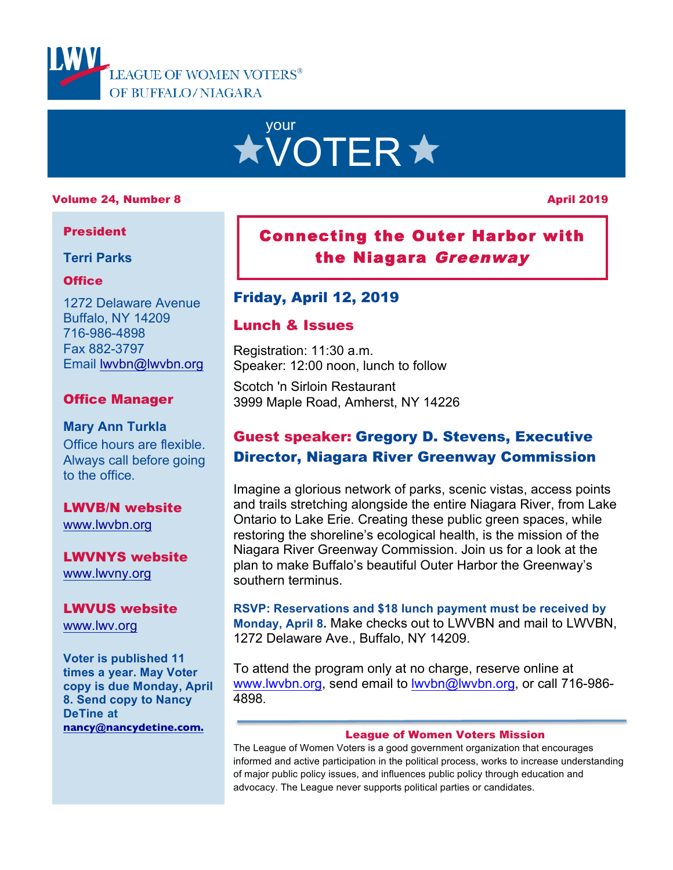

# your **XVOTER X**

#### Volume 24, Number 8 April 2019

#### President

**Terri Parks**

#### **Office**

1272 Delaware Avenue Buffalo, NY 14209 716-986-4898 Fax 882-3797 Email lwvbn@lwvbn.org

### Office Manager

**Mary Ann Turkla** Office hours are flexible. Always call before going to the office.

LWVB/N website www.lwvbn.org

LWVNYS website www.lwvny.org

LWVUS website www.lwv.org

**Voter is published 11 times a year. May Voter copy is due Monday, April 8. Send copy to Nancy DeTine at nancy@nancydetine.com.**

## Connecting the Outer Harbor with the Niagara Greenway

### Friday, April 12, 2019

### Lunch & Issues

Registration: 11:30 a.m. Speaker: 12:00 noon, lunch to follow

Scotch 'n Sirloin Restaurant 3999 Maple Road, Amherst, NY 14226

### Guest speaker: Gregory D. Stevens, Executive Director, Niagara River Greenway Commission

Imagine a glorious network of parks, scenic vistas, access points and trails stretching alongside the entire Niagara River, from Lake Ontario to Lake Erie. Creating these public green spaces, while restoring the shoreline's ecological health, is the mission of the Niagara River Greenway Commission. Join us for a look at the plan to make Buffalo's beautiful Outer Harbor the Greenway's southern terminus.

**RSVP: Reservations and \$18 lunch payment must be received by Monday, April 8.** Make checks out to LWVBN and mail to LWVBN, 1272 Delaware Ave., Buffalo, NY 14209.

To attend the program only at no charge, reserve online at www.lwvbn.org, send email to lwvbn@lwvbn.org, or call 716-986- 4898.

#### League of Women Voters Mission

The League of Women Voters is a good government organization that encourages informed and active participation in the political process, works to increase understanding of major public policy issues, and influences public policy through education and advocacy. The League never supports political parties or candidates.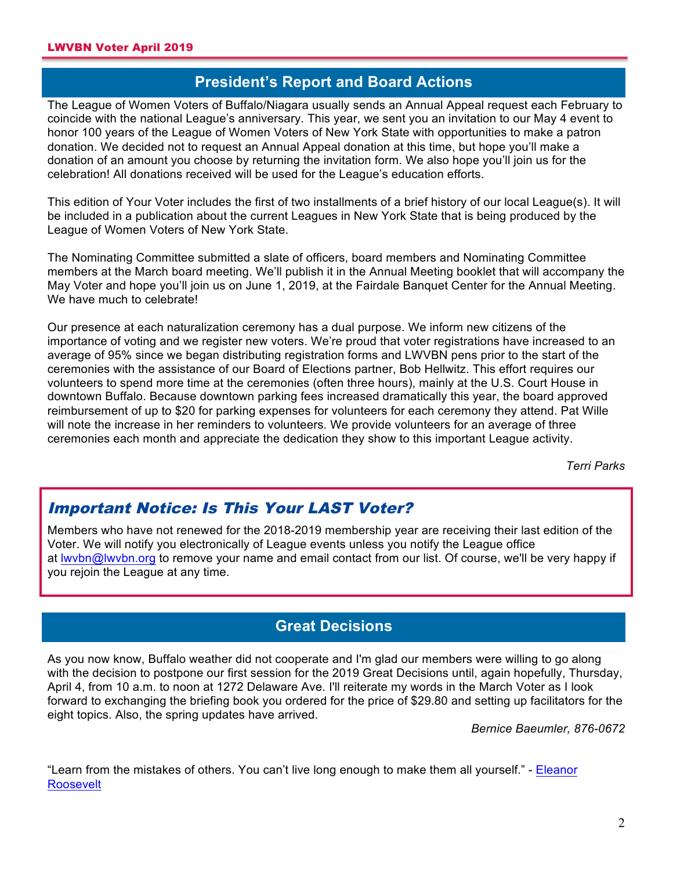### **President's Report and Board Actions**

The League of Women Voters of Buffalo/Niagara usually sends an Annual Appeal request each February to coincide with the national League's anniversary. This year, we sent you an invitation to our May 4 event to honor 100 years of the League of Women Voters of New York State with opportunities to make a patron donation. We decided not to request an Annual Appeal donation at this time, but hope you'll make a donation of an amount you choose by returning the invitation form. We also hope you'll join us for the celebration! All donations received will be used for the League's education efforts.

This edition of Your Voter includes the first of two installments of a brief history of our local League(s). It will be included in a publication about the current Leagues in New York State that is being produced by the League of Women Voters of New York State.

The Nominating Committee submitted a slate of officers, board members and Nominating Committee members at the March board meeting. We'll publish it in the Annual Meeting booklet that will accompany the May Voter and hope you'll join us on June 1, 2019, at the Fairdale Banquet Center for the Annual Meeting. We have much to celebrate!

Our presence at each naturalization ceremony has a dual purpose. We inform new citizens of the importance of voting and we register new voters. We're proud that voter registrations have increased to an average of 95% since we began distributing registration forms and LWVBN pens prior to the start of the ceremonies with the assistance of our Board of Elections partner, Bob Hellwitz. This effort requires our volunteers to spend more time at the ceremonies (often three hours), mainly at the U.S. Court House in downtown Buffalo. Because downtown parking fees increased dramatically this year, the board approved reimbursement of up to \$20 for parking expenses for volunteers for each ceremony they attend. Pat Wille will note the increase in her reminders to volunteers. We provide volunteers for an average of three ceremonies each month and appreciate the dedication they show to this important League activity.

*Terri Parks*

### Important Notice: Is This Your LAST Voter?

Members who have not renewed for the 2018-2019 membership year are receiving their last edition of the Voter. We will notify you electronically of League events unless you notify the League office at lwvbn@lwvbn.org to remove your name and email contact from our list. Of course, we'll be very happy if you rejoin the League at any time.

### **Great Decisions**

As you now know, Buffalo weather did not cooperate and I'm glad our members were willing to go along with the decision to postpone our first session for the 2019 Great Decisions until, again hopefully, Thursday, April 4, from 10 a.m. to noon at 1272 Delaware Ave. I'll reiterate my words in the March Voter as I look forward to exchanging the briefing book you ordered for the price of \$29.80 and setting up facilitators for the eight topics. Also, the spring updates have arrived.

*Bernice Baeumler, 876-0672*

"Learn from the mistakes of others. You can't live long enough to make them all yourself." - Eleanor Roosevelt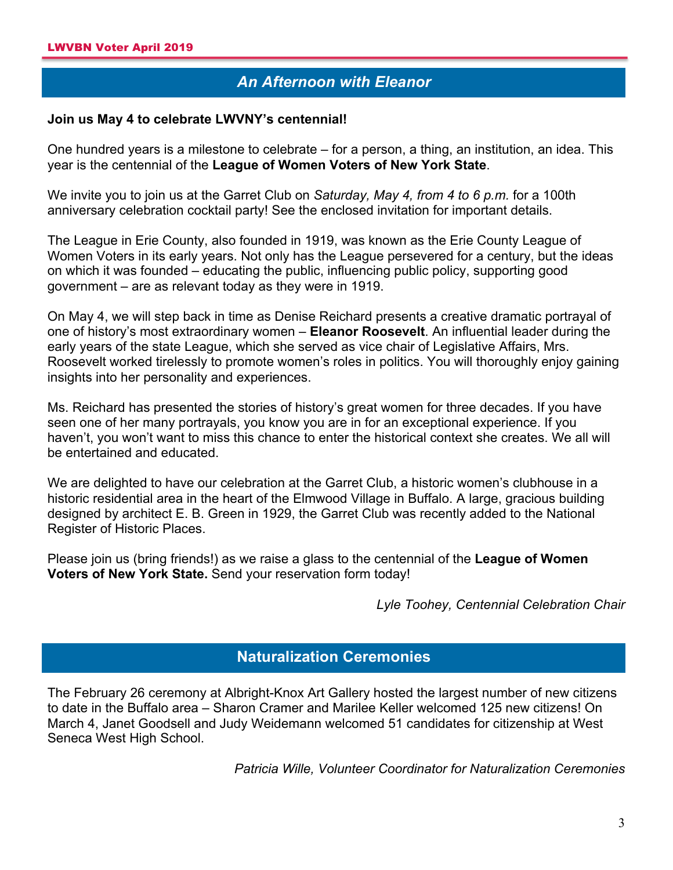### *An Afternoon with Eleanor*

#### **Join us May 4 to celebrate LWVNY's centennial!**

One hundred years is a milestone to celebrate – for a person, a thing, an institution, an idea. This year is the centennial of the **League of Women Voters of New York State**.

We invite you to join us at the Garret Club on *Saturday, May 4, from 4 to 6 p.m.* for a 100th anniversary celebration cocktail party! See the enclosed invitation for important details.

The League in Erie County, also founded in 1919, was known as the Erie County League of Women Voters in its early years. Not only has the League persevered for a century, but the ideas on which it was founded – educating the public, influencing public policy, supporting good government – are as relevant today as they were in 1919.

On May 4, we will step back in time as Denise Reichard presents a creative dramatic portrayal of one of history's most extraordinary women – **Eleanor Roosevelt**. An influential leader during the early years of the state League, which she served as vice chair of Legislative Affairs, Mrs. Roosevelt worked tirelessly to promote women's roles in politics. You will thoroughly enjoy gaining insights into her personality and experiences.

Ms. Reichard has presented the stories of history's great women for three decades. If you have seen one of her many portrayals, you know you are in for an exceptional experience. If you haven't, you won't want to miss this chance to enter the historical context she creates. We all will be entertained and educated.

We are delighted to have our celebration at the Garret Club, a historic women's clubhouse in a historic residential area in the heart of the Elmwood Village in Buffalo. A large, gracious building designed by architect E. B. Green in 1929, the Garret Club was recently added to the National Register of Historic Places.

Please join us (bring friends!) as we raise a glass to the centennial of the **League of Women Voters of New York State.** Send your reservation form today!

*Lyle Toohey, Centennial Celebration Chair*

### **Naturalization Ceremonies**

The February 26 ceremony at Albright-Knox Art Gallery hosted the largest number of new citizens to date in the Buffalo area – Sharon Cramer and Marilee Keller welcomed 125 new citizens! On March 4, Janet Goodsell and Judy Weidemann welcomed 51 candidates for citizenship at West Seneca West High School.

*Patricia Wille, Volunteer Coordinator for Naturalization Ceremonies*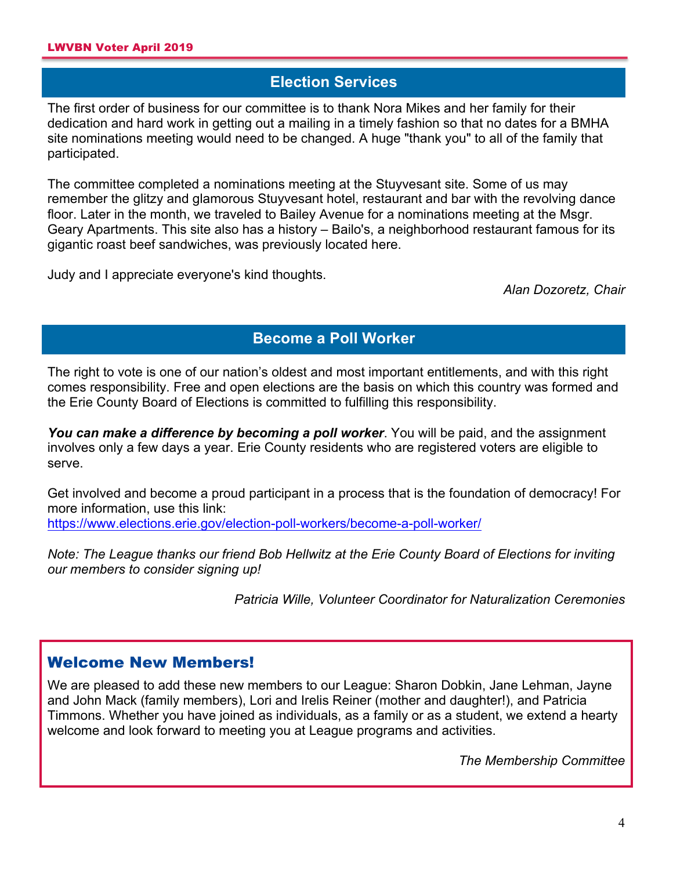### **Election Services**

The first order of business for our committee is to thank Nora Mikes and her family for their dedication and hard work in getting out a mailing in a timely fashion so that no dates for a BMHA site nominations meeting would need to be changed. A huge "thank you" to all of the family that participated.

The committee completed a nominations meeting at the Stuyvesant site. Some of us may remember the glitzy and glamorous Stuyvesant hotel, restaurant and bar with the revolving dance floor. Later in the month, we traveled to Bailey Avenue for a nominations meeting at the Msgr. Geary Apartments. This site also has a history – Bailo's, a neighborhood restaurant famous for its gigantic roast beef sandwiches, was previously located here.

Judy and I appreciate everyone's kind thoughts.

*Alan Dozoretz, Chair*

### **Become a Poll Worker**

The right to vote is one of our nation's oldest and most important entitlements, and with this right comes responsibility. Free and open elections are the basis on which this country was formed and the Erie County Board of Elections is committed to fulfilling this responsibility.

*You can make a difference by becoming a poll worker*. You will be paid, and the assignment involves only a few days a year. Erie County residents who are registered voters are eligible to serve.

Get involved and become a proud participant in a process that is the foundation of democracy! For more information, use this link:

https://www.elections.erie.gov/election-poll-workers/become-a-poll-worker/

*Note: The League thanks our friend Bob Hellwitz at the Erie County Board of Elections for inviting our members to consider signing up!*

*Patricia Wille, Volunteer Coordinator for Naturalization Ceremonies*

### Welcome New Members!

We are pleased to add these new members to our League: Sharon Dobkin, Jane Lehman, Jayne and John Mack (family members), Lori and Irelis Reiner (mother and daughter!), and Patricia Timmons. Whether you have joined as individuals, as a family or as a student, we extend a hearty welcome and look forward to meeting you at League programs and activities.

*The Membership Committee*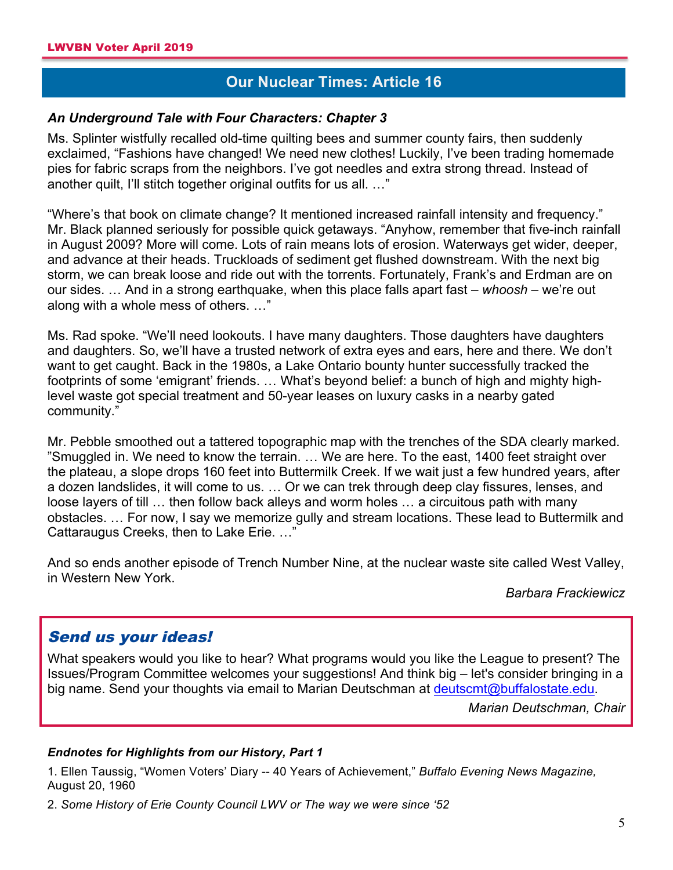### **Our Nuclear Times: Article 16**

#### *An Underground Tale with Four Characters: Chapter 3*

Ms. Splinter wistfully recalled old-time quilting bees and summer county fairs, then suddenly exclaimed, "Fashions have changed! We need new clothes! Luckily, I've been trading homemade pies for fabric scraps from the neighbors. I've got needles and extra strong thread. Instead of another quilt, I'll stitch together original outfits for us all. …"

"Where's that book on climate change? It mentioned increased rainfall intensity and frequency." Mr. Black planned seriously for possible quick getaways. "Anyhow, remember that five-inch rainfall in August 2009? More will come. Lots of rain means lots of erosion. Waterways get wider, deeper, and advance at their heads. Truckloads of sediment get flushed downstream. With the next big storm, we can break loose and ride out with the torrents. Fortunately, Frank's and Erdman are on our sides. … And in a strong earthquake, when this place falls apart fast – *whoosh* – we're out along with a whole mess of others. …"

Ms. Rad spoke. "We'll need lookouts. I have many daughters. Those daughters have daughters and daughters. So, we'll have a trusted network of extra eyes and ears, here and there. We don't want to get caught. Back in the 1980s, a Lake Ontario bounty hunter successfully tracked the footprints of some 'emigrant' friends. … What's beyond belief: a bunch of high and mighty highlevel waste got special treatment and 50-year leases on luxury casks in a nearby gated community."

Mr. Pebble smoothed out a tattered topographic map with the trenches of the SDA clearly marked. "Smuggled in. We need to know the terrain. … We are here. To the east, 1400 feet straight over the plateau, a slope drops 160 feet into Buttermilk Creek. If we wait just a few hundred years, after a dozen landslides, it will come to us. … Or we can trek through deep clay fissures, lenses, and loose layers of till … then follow back alleys and worm holes … a circuitous path with many obstacles. … For now, I say we memorize gully and stream locations. These lead to Buttermilk and Cattaraugus Creeks, then to Lake Erie. …"

And so ends another episode of Trench Number Nine, at the nuclear waste site called West Valley, in Western New York.

*Barbara Frackiewicz*

### Send us your ideas!

What speakers would you like to hear? What programs would you like the League to present? The Issues/Program Committee welcomes your suggestions! And think big – let's consider bringing in a big name. Send your thoughts via email to Marian Deutschman at deutscmt@buffalostate.edu.

*Marian Deutschman, Chair*

#### *Endnotes for Highlights from our History, Part 1*

1. Ellen Taussig, "Women Voters' Diary -- 40 Years of Achievement," *Buffalo Evening News Magazine,* August 20, 1960

2. *Some History of Erie County Council LWV or The way we were since '52*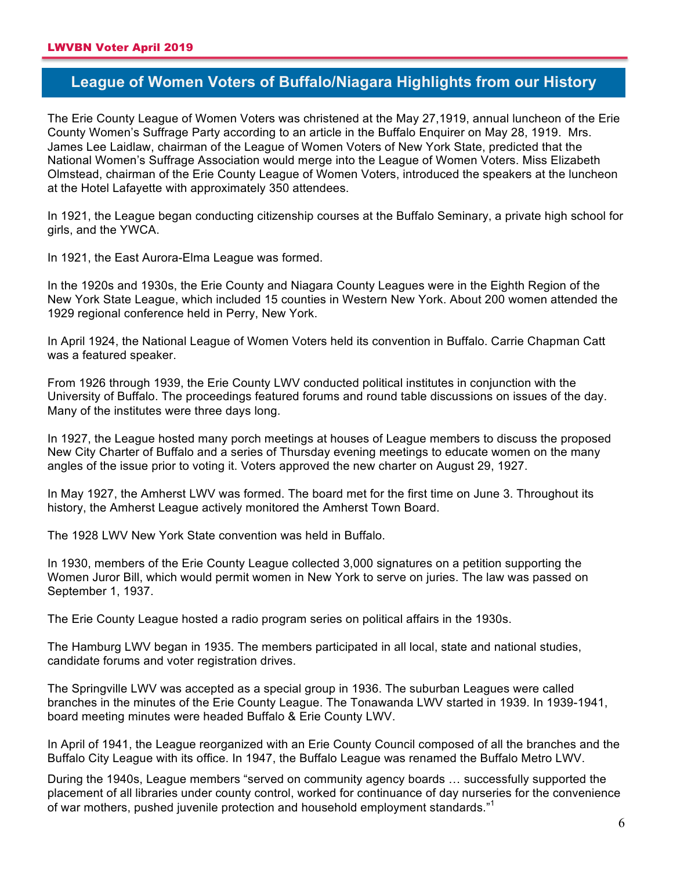### **League of Women Voters of Buffalo/Niagara Highlights from our History**

The Erie County League of Women Voters was christened at the May 27,1919, annual luncheon of the Erie County Women's Suffrage Party according to an article in the Buffalo Enquirer on May 28, 1919. Mrs. James Lee Laidlaw, chairman of the League of Women Voters of New York State, predicted that the National Women's Suffrage Association would merge into the League of Women Voters. Miss Elizabeth Olmstead, chairman of the Erie County League of Women Voters, introduced the speakers at the luncheon at the Hotel Lafayette with approximately 350 attendees.

In 1921, the League began conducting citizenship courses at the Buffalo Seminary, a private high school for girls, and the YWCA.

In 1921, the East Aurora-Elma League was formed.

In the 1920s and 1930s, the Erie County and Niagara County Leagues were in the Eighth Region of the New York State League, which included 15 counties in Western New York. About 200 women attended the 1929 regional conference held in Perry, New York.

In April 1924, the National League of Women Voters held its convention in Buffalo. Carrie Chapman Catt was a featured speaker.

From 1926 through 1939, the Erie County LWV conducted political institutes in conjunction with the University of Buffalo. The proceedings featured forums and round table discussions on issues of the day. Many of the institutes were three days long.

In 1927, the League hosted many porch meetings at houses of League members to discuss the proposed New City Charter of Buffalo and a series of Thursday evening meetings to educate women on the many angles of the issue prior to voting it. Voters approved the new charter on August 29, 1927.

In May 1927, the Amherst LWV was formed. The board met for the first time on June 3. Throughout its history, the Amherst League actively monitored the Amherst Town Board.

The 1928 LWV New York State convention was held in Buffalo.

In 1930, members of the Erie County League collected 3,000 signatures on a petition supporting the Women Juror Bill, which would permit women in New York to serve on juries. The law was passed on September 1, 1937.

The Erie County League hosted a radio program series on political affairs in the 1930s.

The Hamburg LWV began in 1935. The members participated in all local, state and national studies, candidate forums and voter registration drives.

The Springville LWV was accepted as a special group in 1936. The suburban Leagues were called branches in the minutes of the Erie County League. The Tonawanda LWV started in 1939. In 1939-1941, board meeting minutes were headed Buffalo & Erie County LWV.

In April of 1941, the League reorganized with an Erie County Council composed of all the branches and the Buffalo City League with its office. In 1947, the Buffalo League was renamed the Buffalo Metro LWV.

During the 1940s, League members "served on community agency boards … successfully supported the placement of all libraries under county control, worked for continuance of day nurseries for the convenience of war mothers, pushed juvenile protection and household employment standards."<sup>1</sup>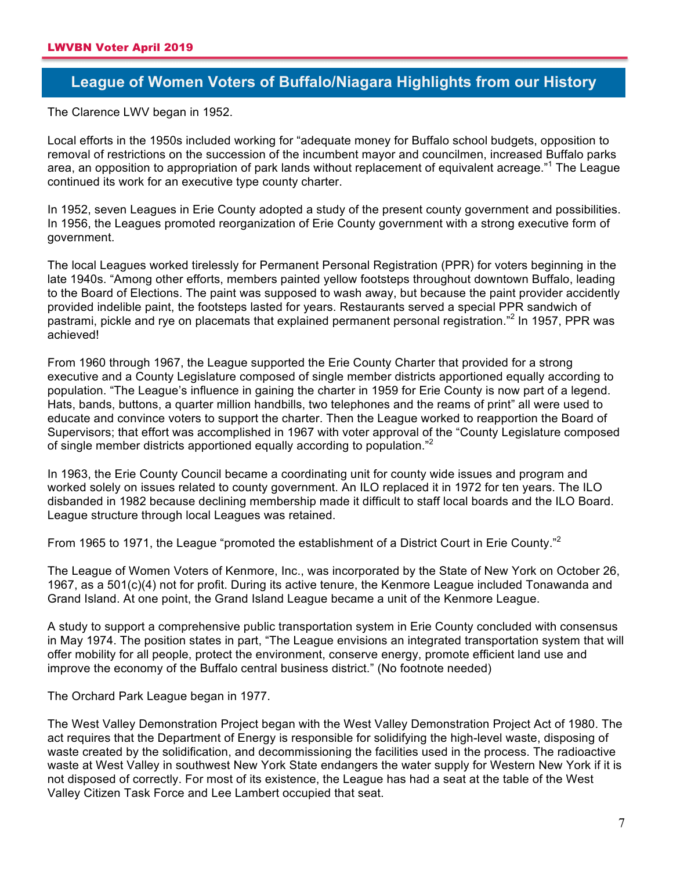### **League of Women Voters of Buffalo/Niagara Highlights from our History**

The Clarence LWV began in 1952.

Local efforts in the 1950s included working for "adequate money for Buffalo school budgets, opposition to removal of restrictions on the succession of the incumbent mayor and councilmen, increased Buffalo parks area, an opposition to appropriation of park lands without replacement of equivalent acreage."<sup>1</sup> The League continued its work for an executive type county charter.

In 1952, seven Leagues in Erie County adopted a study of the present county government and possibilities. In 1956, the Leagues promoted reorganization of Erie County government with a strong executive form of government.

The local Leagues worked tirelessly for Permanent Personal Registration (PPR) for voters beginning in the late 1940s. "Among other efforts, members painted yellow footsteps throughout downtown Buffalo, leading to the Board of Elections. The paint was supposed to wash away, but because the paint provider accidently provided indelible paint, the footsteps lasted for years. Restaurants served a special PPR sandwich of pastrami, pickle and rye on placemats that explained permanent personal registration."<sup>2</sup> In 1957, PPR was achieved!

From 1960 through 1967, the League supported the Erie County Charter that provided for a strong executive and a County Legislature composed of single member districts apportioned equally according to population. "The League's influence in gaining the charter in 1959 for Erie County is now part of a legend. Hats, bands, buttons, a quarter million handbills, two telephones and the reams of print" all were used to educate and convince voters to support the charter. Then the League worked to reapportion the Board of Supervisors; that effort was accomplished in 1967 with voter approval of the "County Legislature composed of single member districts apportioned equally according to population."<sup>2</sup>

In 1963, the Erie County Council became a coordinating unit for county wide issues and program and worked solely on issues related to county government. An ILO replaced it in 1972 for ten years. The ILO disbanded in 1982 because declining membership made it difficult to staff local boards and the ILO Board. League structure through local Leagues was retained.

From 1965 to 1971, the League "promoted the establishment of a District Court in Erie Countv."<sup>2</sup>

The League of Women Voters of Kenmore, Inc., was incorporated by the State of New York on October 26, 1967, as a 501(c)(4) not for profit. During its active tenure, the Kenmore League included Tonawanda and Grand Island. At one point, the Grand Island League became a unit of the Kenmore League.

A study to support a comprehensive public transportation system in Erie County concluded with consensus in May 1974. The position states in part, "The League envisions an integrated transportation system that will offer mobility for all people, protect the environment, conserve energy, promote efficient land use and improve the economy of the Buffalo central business district." (No footnote needed)

The Orchard Park League began in 1977.

The West Valley Demonstration Project began with the West Valley Demonstration Project Act of 1980. The act requires that the Department of Energy is responsible for solidifying the high-level waste, disposing of waste created by the solidification, and decommissioning the facilities used in the process. The radioactive waste at West Valley in southwest New York State endangers the water supply for Western New York if it is not disposed of correctly. For most of its existence, the League has had a seat at the table of the West Valley Citizen Task Force and Lee Lambert occupied that seat.